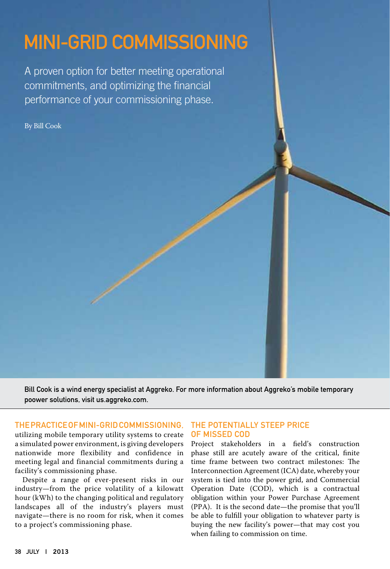# Mini-Grid Commissioning

A proven option for better meeting operational commitments, and optimizing the financial performance of your commissioning phase.

By Bill Cook

Bill Cook is a wind energy specialist at Aggreko. For more information about Aggreko's mobile temporary poower solutions, visi[t us.aggreko.com.](http://us.aggreko.com)

#### Thepracticeof Mini-GridCommissioning,

utilizing mobile temporary utility systems to create a simulated power environment, is giving developers nationwide more flexibility and confidence in meeting legal and financial commitments during a facility's commissioning phase.

Despite a range of ever-present risks in our industry—from the price volatility of a kilowatt hour (kWh) to the changing political and regulatory landscapes all of the industry's players must navigate—there is no room for risk, when it comes to a project's commissioning phase.

## THE POTENTIALLY STEEP PRICE of Missed COD

Project stakeholders in a field's construction phase still are acutely aware of the critical, finite time frame between two contract milestones: The Interconnection Agreement (ICA) date, whereby your system is tied into the power grid, and Commercial Operation Date (COD), which is a contractual obligation within your Power Purchase Agreement (PPA). It is the second date—the promise that you'll be able to fulfill your obligation to whatever party is buying the new facility's power—that may cost you when failing to commission on time.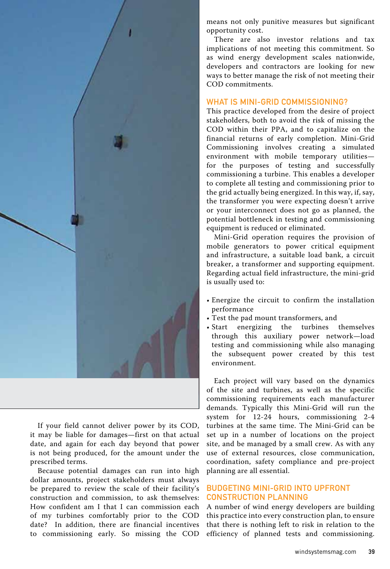

If your field cannot deliver power by its COD, it may be liable for damages—first on that actual date, and again for each day beyond that power is not being produced, for the amount under the prescribed terms.

Because potential damages can run into high dollar amounts, project stakeholders must always be prepared to review the scale of their facility's construction and commission, to ask themselves: How confident am I that I can commission each of my turbines comfortably prior to the COD date? In addition, there are financial incentives to commissioning early. So missing the COD

means not only punitive measures but significant opportunity cost.

There are also investor relations and tax implications of not meeting this commitment. So as wind energy development scales nationwide, developers and contractors are looking for new ways to better manage the risk of not meeting their COD commitments.

## WHAT IS MINI-GRID COMMISSIONING?

This practice developed from the desire of project stakeholders, both to avoid the risk of missing the COD within their PPA, and to capitalize on the financial returns of early completion. Mini-Grid Commissioning involves creating a simulated environment with mobile temporary utilities for the purposes of testing and successfully commissioning a turbine. This enables a developer to complete all testing and commissioning prior to the grid actually being energized. In this way, if, say, the transformer you were expecting doesn't arrive or your interconnect does not go as planned, the potential bottleneck in testing and commissioning equipment is reduced or eliminated.

Mini-Grid operation requires the provision of mobile generators to power critical equipment and infrastructure, a suitable load bank, a circuit breaker, a transformer and supporting equipment. Regarding actual field infrastructure, the mini-grid is usually used to:

- Energize the circuit to confirm the installation performance
- Test the pad mount transformers, and
- Start energizing the turbines themselves through this auxiliary power network—load testing and commissioning while also managing the subsequent power created by this test environment.

Each project will vary based on the dynamics of the site and turbines, as well as the specific commissioning requirements each manufacturer demands. Typically this Mini-Grid will run the system for 12-24 hours, commissioning 2-4 turbines at the same time. The Mini-Grid can be set up in a number of locations on the project site, and be managed by a small crew. As with any use of external resources, close communication, coordination, safety compliance and pre-project planning are all essential.

# Budgeting Mini-Grid into Upfront Construction Planning

A number of wind energy developers are building this practice into every construction plan, to ensure that there is nothing left to risk in relation to the efficiency of planned tests and commissioning.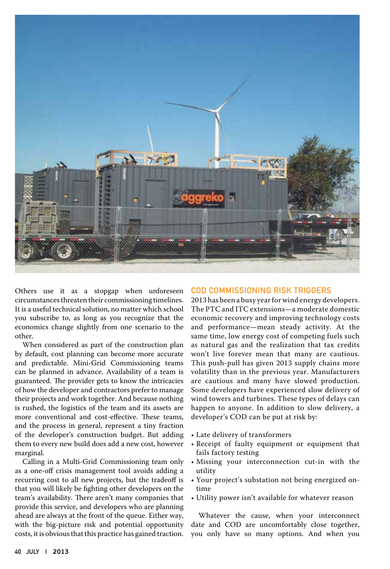

Others use it as a stopgap when unforeseen circumstances threaten their commissioning timelines. It is a useful technical solution, no matter which school you subscribe to, as long as you recognize that the economics change slightly from one scenario to the other.

When considered as part of the construction plan by default, cost planning can become more accurate and predictable. Mini-Grid Commissioning teams can be planned in advance. Availability of a team is guaranteed. The provider gets to know the intricacies of how the developer and contractors prefer to manage their projects and work together. And because nothing is rushed, the logistics of the team and its assets are more conventional and cost-effective. These teams, and the process in general, represent a tiny fraction of the developer's construction budget. But adding them to every new build does add a new cost, however marginal.

Calling in a Multi-Grid Commissioning team only as a one-off crisis management tool avoids adding a recurring cost to all new projects, but the tradeoff is that you will likely be fighting other developers on the team's availability. There aren't many companies that provide this service, and developers who are planning ahead are always at the front of the queue. Either way, with the big-picture risk and potential opportunity costs, it is obvious that this practice has gained traction.

#### COD Commissioning Risk Triggers

2013 has been a busy year for wind energy developers. The PTC and ITC extensions—a moderate domestic economic recovery and improving technology costs and performance—mean steady activity. At the same time, low energy cost of competing fuels such as natural gas and the realization that tax credits won't live forever mean that many are cautious. This push-pull has given 2013 supply chains more volatility than in the previous year. Manufacturers are cautious and many have slowed production. Some developers have experienced slow delivery of wind towers and turbines. These types of delays can happen to anyone. In addition to slow delivery, a developer's COD can be put at risk by:

- Late delivery of transformers
- Receipt of faulty equipment or equipment that fails factory testing
- Missing your interconnection cut-in with the utility
- Your project's substation not being energized ontime
- Utility power isn't available for whatever reason

Whatever the cause, when your interconnect date and COD are uncomfortably close together, you only have so many options. And when you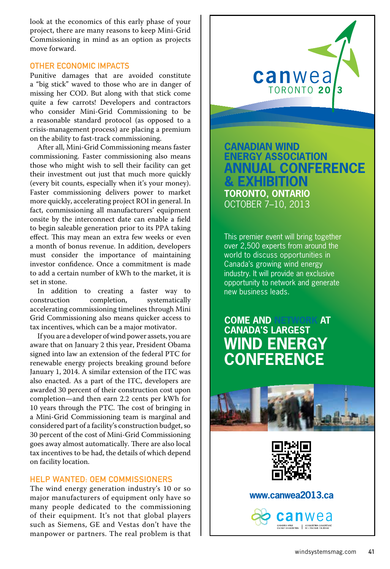look at the economics of this early phase of your project, there are many reasons to keep Mini-Grid Commissioning in mind as an option as projects move forward.

#### Other Economic impacts

Punitive damages that are avoided constitute a "big stick" waved to those who are in danger of missing her COD. But along with that stick come quite a few carrots! Developers and contractors who consider Mini-Grid Commissioning to be a reasonable standard protocol (as opposed to a crisis-management process) are placing a premium on the ability to fast-track commissioning.

After all, Mini-Grid Commissioning means faster commissioning. Faster commissioning also means those who might wish to sell their facility can get their investment out just that much more quickly (every bit counts, especially when it's your money). Faster commissioning delivers power to market more quickly, accelerating project ROI in general. In fact, commissioning all manufacturers' equipment onsite by the interconnect date can enable a field to begin saleable generation prior to its PPA taking effect. This may mean an extra few weeks or even a month of bonus revenue. In addition, developers must consider the importance of maintaining investor confidence. Once a commitment is made to add a certain number of kWh to the market, it is set in stone.

In addition to creating a faster way to nstruction completion, systematically construction completion, systematically accelerating commissioning timelines through Mini Grid Commissioning also means quicker access to tax incentives, which can be a major motivator.

If you are a developer of wind power assets, you are aware that on January 2 this year, President Obama signed into law an extension of the federal PTC for renewable energy projects breaking ground before January 1, 2014. A similar extension of the ITC was also enacted. As a part of the ITC, developers are awarded 30 percent of their construction cost upon completion—and then earn 2.2 cents per kWh for 10 years through the PTC. The cost of bringing in a Mini-Grid Commissioning team is marginal and considered part of a facility's construction budget, so 30 percent of the cost of Mini-Grid Commissioning goes away almost automatically. There are also local tax incentives to be had, the details of which depend on facility location.

#### Help Wanted: OEM Commissioners

The wind energy generation industry's 10 or so major manufacturers of equipment only have so many people dedicated to the commissioning of their equipment. It's not that global players such as Siemens, GE and Vestas don't have the manpower or partners. The real problem is that canwea TORONTO 20

**CANADIAN WIND ENERGY ASSOCIATION ANNUAL CONFERENCE & EXHIBITION TORONTO, ONTARIO** OCTOBER 7–10, 2013

This premier event will bring together over 2,500 experts from around the world to discuss opportunities in Canada's growing wind energy industry. It will provide an exclusive opportunity to network and generate new business leads.

# **COME AND NETWORK AT CANADA'S LARGEST WIND ENERGY CONFERENCE**